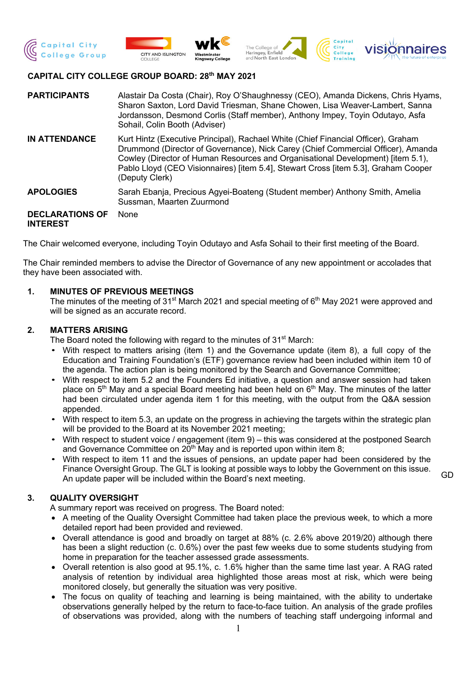







# **CAPITAL CITY COLLEGE GROUP BOARD: 28th MAY 2021**

| <b>PARTICIPANTS</b>                       | Alastair Da Costa (Chair), Roy O'Shaughnessy (CEO), Amanda Dickens, Chris Hyams,<br>Sharon Saxton, Lord David Triesman, Shane Chowen, Lisa Weaver-Lambert, Sanna<br>Jordansson, Desmond Corlis (Staff member), Anthony Impey, Toyin Odutayo, Asfa<br>Sohail, Colin Booth (Adviser)                                                                               |
|-------------------------------------------|------------------------------------------------------------------------------------------------------------------------------------------------------------------------------------------------------------------------------------------------------------------------------------------------------------------------------------------------------------------|
| <b>IN ATTENDANCE</b>                      | Kurt Hintz (Executive Principal), Rachael White (Chief Financial Officer), Graham<br>Drummond (Director of Governance), Nick Carey (Chief Commercial Officer), Amanda<br>Cowley (Director of Human Resources and Organisational Development) [item 5.1),<br>Pablo Lloyd (CEO Visionnaires) [item 5.4], Stewart Cross [item 5.3], Graham Cooper<br>(Deputy Clerk) |
| <b>APOLOGIES</b>                          | Sarah Ebanja, Precious Agyei-Boateng (Student member) Anthony Smith, Amelia<br>Sussman, Maarten Zuurmond                                                                                                                                                                                                                                                         |
| <b>DECLARATIONS OF</b><br><b>INTEREST</b> | None                                                                                                                                                                                                                                                                                                                                                             |

The Chair welcomed everyone, including Toyin Odutayo and Asfa Sohail to their first meeting of the Board.

The Chair reminded members to advise the Director of Governance of any new appointment or accolades that they have been associated with.

## **1. MINUTES OF PREVIOUS MEETINGS**

The minutes of the meeting of 31<sup>st</sup> March 2021 and special meeting of  $6<sup>th</sup>$  May 2021 were approved and will be signed as an accurate record.

## **2. MATTERS ARISING**

The Board noted the following with regard to the minutes of 31<sup>st</sup> March:

- With respect to matters arising (item 1) and the Governance update (item 8), a full copy of the Education and Training Foundation's (ETF) governance review had been included within item 10 of the agenda. The action plan is being monitored by the Search and Governance Committee;
- With respect to item 5.2 and the Founders Ed initiative, a question and answer session had taken place on  $5<sup>th</sup>$  May and a special Board meeting had been held on  $6<sup>th</sup>$  May. The minutes of the latter had been circulated under agenda item 1 for this meeting, with the output from the Q&A session appended.
- With respect to item 5.3, an update on the progress in achieving the targets within the strategic plan will be provided to the Board at its November 2021 meeting;
- With respect to student voice / engagement (item 9) this was considered at the postponed Search and Governance Committee on  $20<sup>th</sup>$  May and is reported upon within item 8;
- With respect to item 11 and the issues of pensions, an update paper had been considered by the Finance Oversight Group. The GLT is looking at possible ways to lobby the Government on this issue. An update paper will be included within the Board's next meeting.

### **3. QUALITY OVERSIGHT**

A summary report was received on progress. The Board noted:

- A meeting of the Quality Oversight Committee had taken place the previous week, to which a more detailed report had been provided and reviewed.
- Overall attendance is good and broadly on target at 88% (c. 2.6% above 2019/20) although there has been a slight reduction (c. 0.6%) over the past few weeks due to some students studying from home in preparation for the teacher assessed grade assessments.
- Overall retention is also good at 95.1%, c. 1.6% higher than the same time last year. A RAG rated analysis of retention by individual area highlighted those areas most at risk, which were being monitored closely, but generally the situation was very positive.
- The focus on quality of teaching and learning is being maintained, with the ability to undertake observations generally helped by the return to face-to-face tuition. An analysis of the grade profiles of observations was provided, along with the numbers of teaching staff undergoing informal and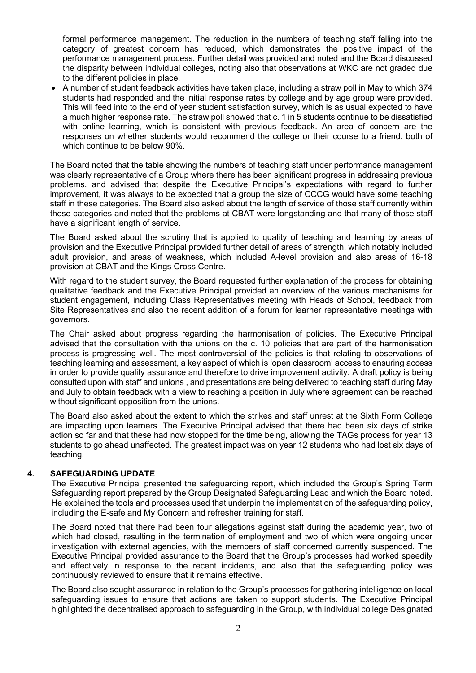formal performance management. The reduction in the numbers of teaching staff falling into the category of greatest concern has reduced, which demonstrates the positive impact of the performance management process. Further detail was provided and noted and the Board discussed the disparity between individual colleges, noting also that observations at WKC are not graded due to the different policies in place.

• A number of student feedback activities have taken place, including a straw poll in May to which 374 students had responded and the initial response rates by college and by age group were provided. This will feed into to the end of year student satisfaction survey, which is as usual expected to have a much higher response rate. The straw poll showed that c. 1 in 5 students continue to be dissatisfied with online learning, which is consistent with previous feedback. An area of concern are the responses on whether students would recommend the college or their course to a friend, both of which continue to be below 90%.

The Board noted that the table showing the numbers of teaching staff under performance management was clearly representative of a Group where there has been significant progress in addressing previous problems, and advised that despite the Executive Principal's expectations with regard to further improvement, it was always to be expected that a group the size of CCCG would have some teaching staff in these categories. The Board also asked about the length of service of those staff currently within these categories and noted that the problems at CBAT were longstanding and that many of those staff have a significant length of service.

The Board asked about the scrutiny that is applied to quality of teaching and learning by areas of provision and the Executive Principal provided further detail of areas of strength, which notably included adult provision, and areas of weakness, which included A-level provision and also areas of 16-18 provision at CBAT and the Kings Cross Centre.

With regard to the student survey, the Board requested further explanation of the process for obtaining qualitative feedback and the Executive Principal provided an overview of the various mechanisms for student engagement, including Class Representatives meeting with Heads of School, feedback from Site Representatives and also the recent addition of a forum for learner representative meetings with governors.

The Chair asked about progress regarding the harmonisation of policies. The Executive Principal advised that the consultation with the unions on the c. 10 policies that are part of the harmonisation process is progressing well. The most controversial of the policies is that relating to observations of teaching learning and assessment, a key aspect of which is 'open classroom' access to ensuring access in order to provide quality assurance and therefore to drive improvement activity. A draft policy is being consulted upon with staff and unions , and presentations are being delivered to teaching staff during May and July to obtain feedback with a view to reaching a position in July where agreement can be reached without significant opposition from the unions.

The Board also asked about the extent to which the strikes and staff unrest at the Sixth Form College are impacting upon learners. The Executive Principal advised that there had been six days of strike action so far and that these had now stopped for the time being, allowing the TAGs process for year 13 students to go ahead unaffected. The greatest impact was on year 12 students who had lost six days of teaching.

### **4. SAFEGUARDING UPDATE**

The Executive Principal presented the safeguarding report, which included the Group's Spring Term Safeguarding report prepared by the Group Designated Safeguarding Lead and which the Board noted. He explained the tools and processes used that underpin the implementation of the safeguarding policy, including the E-safe and My Concern and refresher training for staff.

The Board noted that there had been four allegations against staff during the academic year, two of which had closed, resulting in the termination of employment and two of which were ongoing under investigation with external agencies, with the members of staff concerned currently suspended. The Executive Principal provided assurance to the Board that the Group's processes had worked speedily and effectively in response to the recent incidents, and also that the safeguarding policy was continuously reviewed to ensure that it remains effective.

The Board also sought assurance in relation to the Group's processes for gathering intelligence on local safeguarding issues to ensure that actions are taken to support students. The Executive Principal highlighted the decentralised approach to safeguarding in the Group, with individual college Designated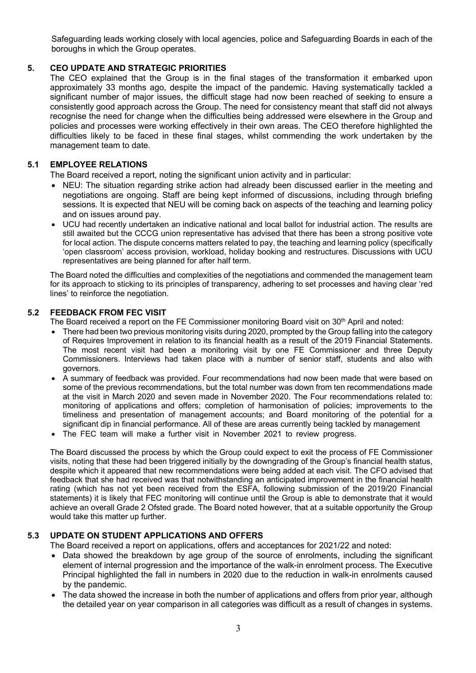Safeguarding leads working closely with local agencies, police and Safeguarding Boards in each of the boroughs in which the Group operates.

# **5. CEO UPDATE AND STRATEGIC PRIORITIES**

The CEO explained that the Group is in the final stages of the transformation it embarked upon approximately 33 months ago, despite the impact of the pandemic. Having systematically tackled a significant number of major issues, the difficult stage had now been reached of seeking to ensure a consistently good approach across the Group. The need for consistency meant that staff did not always recognise the need for change when the difficulties being addressed were elsewhere in the Group and policies and processes were working effectively in their own areas. The CEO therefore highlighted the difficulties likely to be faced in these final stages, whilst commending the work undertaken by the management team to date.

# **5.1 EMPLOYEE RELATIONS**

The Board received a report, noting the significant union activity and in particular:

- NEU: The situation regarding strike action had already been discussed earlier in the meeting and negotiations are ongoing. Staff are being kept informed of discussions, including through briefing sessions. It is expected that NEU will be coming back on aspects of the teaching and learning policy and on issues around pay.
- UCU had recently undertaken an indicative national and local ballot for industrial action. The results are still awaited but the CCCG union representative has advised that there has been a strong positive vote for local action. The dispute concerns matters related to pay, the teaching and learning policy (specifically 'open classroom' access provision, workload, holiday booking and restructures. Discussions with UCU representatives are being planned for after half term.

The Board noted the difficulties and complexities of the negotiations and commended the management team for its approach to sticking to its principles of transparency, adhering to set processes and having clear 'red lines' to reinforce the negotiation.

## **5.2 FEEDBACK FROM FEC VISIT**

The Board received a report on the FE Commissioner monitoring Board visit on 30<sup>th</sup> April and noted:

- There had been two previous monitoring visits during 2020, prompted by the Group falling into the category of Requires Improvement in relation to its financial health as a result of the 2019 Financial Statements. The most recent visit had been a monitoring visit by one FE Commissioner and three Deputy Commissioners. Interviews had taken place with a number of senior staff, students and also with governors.
- A summary of feedback was provided. Four recommendations had now been made that were based on some of the previous recommendations, but the total number was down from ten recommendations made at the visit in March 2020 and seven made in November 2020. The Four recommendations related to: monitoring of applications and offers; completion of harmonisation of policies; improvements to the timeliness and presentation of management accounts; and Board monitoring of the potential for a significant dip in financial performance. All of these are areas currently being tackled by management
- The FEC team will make a further visit in November 2021 to review progress.

The Board discussed the process by which the Group could expect to exit the process of FE Commissioner visits, noting that these had been triggered initially by the downgrading of the Group's financial health status, despite which it appeared that new recommendations were being added at each visit. The CFO advised that feedback that she had received was that notwithstanding an anticipated improvement in the financial health rating (which has not yet been received from the ESFA, following submission of the 2019/20 Financial statements) it is likely that FEC monitoring will continue until the Group is able to demonstrate that it would achieve an overall Grade 2 Ofsted grade. The Board noted however, that at a suitable opportunity the Group would take this matter up further.

# **5.3 UPDATE ON STUDENT APPLICATIONS AND OFFERS**

The Board received a report on applications, offers and acceptances for 2021/22 and noted:

- Data showed the breakdown by age group of the source of enrolments, including the significant element of internal progression and the importance of the walk-in enrolment process. The Executive Principal highlighted the fall in numbers in 2020 due to the reduction in walk-in enrolments caused by the pandemic.
- The data showed the increase in both the number of applications and offers from prior year, although the detailed year on year comparison in all categories was difficult as a result of changes in systems.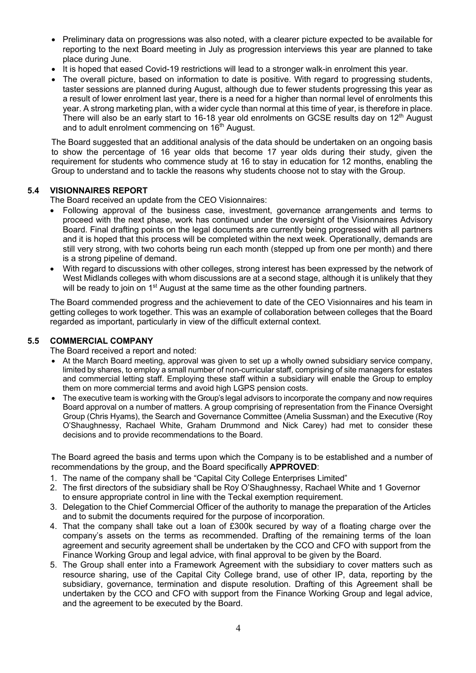- Preliminary data on progressions was also noted, with a clearer picture expected to be available for reporting to the next Board meeting in July as progression interviews this year are planned to take place during June.
- It is hoped that eased Covid-19 restrictions will lead to a stronger walk-in enrolment this year.
- The overall picture, based on information to date is positive. With regard to progressing students, taster sessions are planned during August, although due to fewer students progressing this year as a result of lower enrolment last year, there is a need for a higher than normal level of enrolments this year. A strong marketing plan, with a wider cycle than normal at this time of year, is therefore in place. There will also be an early start to 16-18 year old enrolments on GCSE results day on 12<sup>th</sup> August and to adult enrolment commencing on  $16<sup>th</sup>$  August.

The Board suggested that an additional analysis of the data should be undertaken on an ongoing basis to show the percentage of 16 year olds that become 17 year olds during their study, given the requirement for students who commence study at 16 to stay in education for 12 months, enabling the Group to understand and to tackle the reasons why students choose not to stay with the Group.

## **5.4 VISIONNAIRES REPORT**

The Board received an update from the CEO Visionnaires:

- Following approval of the business case, investment, governance arrangements and terms to proceed with the next phase, work has continued under the oversight of the Visionnaires Advisory Board. Final drafting points on the legal documents are currently being progressed with all partners and it is hoped that this process will be completed within the next week. Operationally, demands are still very strong, with two cohorts being run each month (stepped up from one per month) and there is a strong pipeline of demand.
- With regard to discussions with other colleges, strong interest has been expressed by the network of West Midlands colleges with whom discussions are at a second stage, although it is unlikely that they will be ready to join on  $1<sup>st</sup>$  August at the same time as the other founding partners.

The Board commended progress and the achievement to date of the CEO Visionnaires and his team in getting colleges to work together. This was an example of collaboration between colleges that the Board regarded as important, particularly in view of the difficult external context.

### **5.5 COMMERCIAL COMPANY**

The Board received a report and noted:

- At the March Board meeting, approval was given to set up a wholly owned subsidiary service company, limited by shares, to employ a small number of non-curricular staff, comprising of site managers for estates and commercial letting staff. Employing these staff within a subsidiary will enable the Group to employ them on more commercial terms and avoid high LGPS pension costs.
- The executive team is working with the Group's legal advisors to incorporate the company and now requires Board approval on a number of matters. A group comprising of representation from the Finance Oversight Group (Chris Hyams), the Search and Governance Committee (Amelia Sussman) and the Executive (Roy O'Shaughnessy, Rachael White, Graham Drummond and Nick Carey) had met to consider these decisions and to provide recommendations to the Board.

The Board agreed the basis and terms upon which the Company is to be established and a number of recommendations by the group, and the Board specifically **APPROVED**:

- 1. The name of the company shall be "Capital City College Enterprises Limited"
- 2. The first directors of the subsidiary shall be Roy O'Shaughnessy, Rachael White and 1 Governor to ensure appropriate control in line with the Teckal exemption requirement.
- 3. Delegation to the Chief Commercial Officer of the authority to manage the preparation of the Articles and to submit the documents required for the purpose of incorporation.
- 4. That the company shall take out a loan of £300k secured by way of a floating charge over the company's assets on the terms as recommended. Drafting of the remaining terms of the loan agreement and security agreement shall be undertaken by the CCO and CFO with support from the Finance Working Group and legal advice, with final approval to be given by the Board.
- 5. The Group shall enter into a Framework Agreement with the subsidiary to cover matters such as resource sharing, use of the Capital City College brand, use of other IP, data, reporting by the subsidiary, governance, termination and dispute resolution. Drafting of this Agreement shall be undertaken by the CCO and CFO with support from the Finance Working Group and legal advice, and the agreement to be executed by the Board.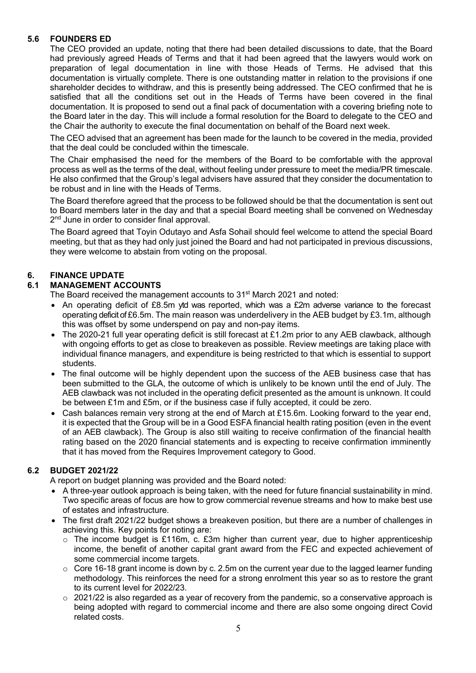# **5.6 FOUNDERS ED**

The CEO provided an update, noting that there had been detailed discussions to date, that the Board had previously agreed Heads of Terms and that it had been agreed that the lawyers would work on preparation of legal documentation in line with those Heads of Terms. He advised that this documentation is virtually complete. There is one outstanding matter in relation to the provisions if one shareholder decides to withdraw, and this is presently being addressed. The CEO confirmed that he is satisfied that all the conditions set out in the Heads of Terms have been covered in the final documentation. It is proposed to send out a final pack of documentation with a covering briefing note to the Board later in the day. This will include a formal resolution for the Board to delegate to the CEO and the Chair the authority to execute the final documentation on behalf of the Board next week.

The CEO advised that an agreement has been made for the launch to be covered in the media, provided that the deal could be concluded within the timescale.

The Chair emphasised the need for the members of the Board to be comfortable with the approval process as well as the terms of the deal, without feeling under pressure to meet the media/PR timescale. He also confirmed that the Group's legal advisers have assured that they consider the documentation to be robust and in line with the Heads of Terms.

The Board therefore agreed that the process to be followed should be that the documentation is sent out to Board members later in the day and that a special Board meeting shall be convened on Wednesday 2<sup>nd</sup> June in order to consider final approval.

The Board agreed that Toyin Odutayo and Asfa Sohail should feel welcome to attend the special Board meeting, but that as they had only just joined the Board and had not participated in previous discussions, they were welcome to abstain from voting on the proposal.

# **6. FINANCE UPDATE**

# **6.1 MANAGEMENT ACCOUNTS**

The Board received the management accounts to 31<sup>st</sup> March 2021 and noted:

- An operating deficit of £8.5m ytd was reported, which was a £2m adverse variance to the forecast operating deficit of £6.5m. The main reason was underdelivery in the AEB budget by £3.1m, although this was offset by some underspend on pay and non-pay items.
- The 2020-21 full year operating deficit is still forecast at £1.2m prior to any AEB clawback, although with ongoing efforts to get as close to breakeven as possible. Review meetings are taking place with individual finance managers, and expenditure is being restricted to that which is essential to support students.
- The final outcome will be highly dependent upon the success of the AEB business case that has been submitted to the GLA, the outcome of which is unlikely to be known until the end of July. The AEB clawback was not included in the operating deficit presented as the amount is unknown. It could be between £1m and £5m, or if the business case if fully accepted, it could be zero.
- Cash balances remain very strong at the end of March at £15.6m. Looking forward to the year end, it is expected that the Group will be in a Good ESFA financial health rating position (even in the event of an AEB clawback). The Group is also still waiting to receive confirmation of the financial health rating based on the 2020 financial statements and is expecting to receive confirmation imminently that it has moved from the Requires Improvement category to Good.

# **6.2 BUDGET 2021/22**

A report on budget planning was provided and the Board noted:

- A three-year outlook approach is being taken, with the need for future financial sustainability in mind. Two specific areas of focus are how to grow commercial revenue streams and how to make best use of estates and infrastructure.
- The first draft 2021/22 budget shows a breakeven position, but there are a number of challenges in achieving this. Key points for noting are:
	- $\circ$  The income budget is £116m, c. £3m higher than current year, due to higher apprenticeship income, the benefit of another capital grant award from the FEC and expected achievement of some commercial income targets.
	- $\circ$  Core 16-18 grant income is down by c. 2.5m on the current year due to the lagged learner funding methodology. This reinforces the need for a strong enrolment this year so as to restore the grant to its current level for 2022/23.
	- $\circ$  2021/22 is also regarded as a year of recovery from the pandemic, so a conservative approach is being adopted with regard to commercial income and there are also some ongoing direct Covid related costs.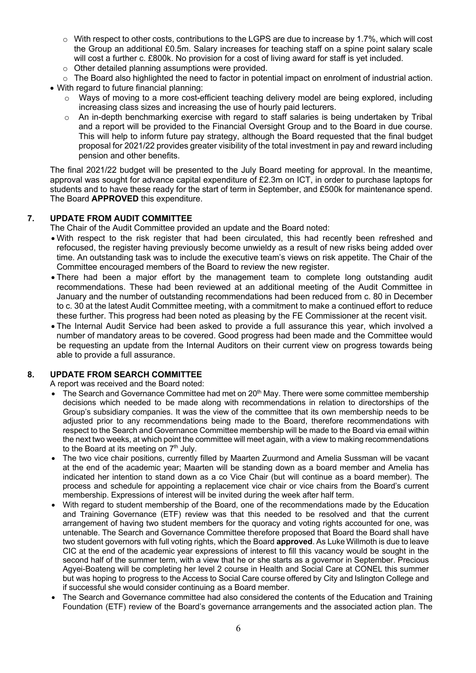- o With respect to other costs, contributions to the LGPS are due to increase by 1.7%, which will cost the Group an additional £0.5m. Salary increases for teaching staff on a spine point salary scale will cost a further c. £800k. No provision for a cost of living award for staff is yet included.
- o Other detailed planning assumptions were provided.
- $\circ$  The Board also highlighted the need to factor in potential impact on enrolment of industrial action.
- With regard to future financial planning:
	- o Ways of moving to a more cost-efficient teaching delivery model are being explored, including increasing class sizes and increasing the use of hourly paid lecturers.
	- $\circ$  An in-depth benchmarking exercise with regard to staff salaries is being undertaken by Tribal and a report will be provided to the Financial Oversight Group and to the Board in due course. This will help to inform future pay strategy, although the Board requested that the final budget proposal for 2021/22 provides greater visibility of the total investment in pay and reward including pension and other benefits.

The final 2021/22 budget will be presented to the July Board meeting for approval. In the meantime, approval was sought for advance capital expenditure of £2.3m on ICT, in order to purchase laptops for students and to have these ready for the start of term in September, and £500k for maintenance spend. The Board **APPROVED** this expenditure.

## **7. UPDATE FROM AUDIT COMMITTEE**

The Chair of the Audit Committee provided an update and the Board noted:

- With respect to the risk register that had been circulated, this had recently been refreshed and refocused, the register having previously become unwieldy as a result of new risks being added over time. An outstanding task was to include the executive team's views on risk appetite. The Chair of the Committee encouraged members of the Board to review the new register.
- There had been a major effort by the management team to complete long outstanding audit recommendations. These had been reviewed at an additional meeting of the Audit Committee in January and the number of outstanding recommendations had been reduced from c. 80 in December to c. 30 at the latest Audit Committee meeting, with a commitment to make a continued effort to reduce these further. This progress had been noted as pleasing by the FE Commissioner at the recent visit.
- The Internal Audit Service had been asked to provide a full assurance this year, which involved a number of mandatory areas to be covered. Good progress had been made and the Committee would be requesting an update from the Internal Auditors on their current view on progress towards being able to provide a full assurance.

# **8. UPDATE FROM SEARCH COMMITTEE**

A report was received and the Board noted:

- The Search and Governance Committee had met on 20<sup>th</sup> May. There were some committee membership decisions which needed to be made along with recommendations in relation to directorships of the Group's subsidiary companies. It was the view of the committee that its own membership needs to be adjusted prior to any recommendations being made to the Board, therefore recommendations with respect to the Search and Governance Committee membership will be made to the Board via email within the next two weeks, at which point the committee will meet again, with a view to making recommendations to the Board at its meeting on  $7<sup>th</sup>$  July.
- The two vice chair positions, currently filled by Maarten Zuurmond and Amelia Sussman will be vacant at the end of the academic year; Maarten will be standing down as a board member and Amelia has indicated her intention to stand down as a co Vice Chair (but will continue as a board member). The process and schedule for appointing a replacement vice chair or vice chairs from the Board's current membership. Expressions of interest will be invited during the week after half term.
- With regard to student membership of the Board, one of the recommendations made by the Education and Training Governance (ETF) review was that this needed to be resolved and that the current arrangement of having two student members for the quoracy and voting rights accounted for one, was untenable. The Search and Governance Committee therefore proposed that Board the Board shall have two student governors with full voting rights, which the Board **approved**. As Luke Willmoth is due to leave CIC at the end of the academic year expressions of interest to fill this vacancy would be sought in the second half of the summer term, with a view that he or she starts as a governor in September. Precious Agyei-Boateng will be completing her level 2 course in Health and Social Care at CONEL this summer but was hoping to progress to the Access to Social Care course offered by City and Islington College and if successful she would consider continuing as a Board member.
- The Search and Governance committee had also considered the contents of the Education and Training Foundation (ETF) review of the Board's governance arrangements and the associated action plan. The